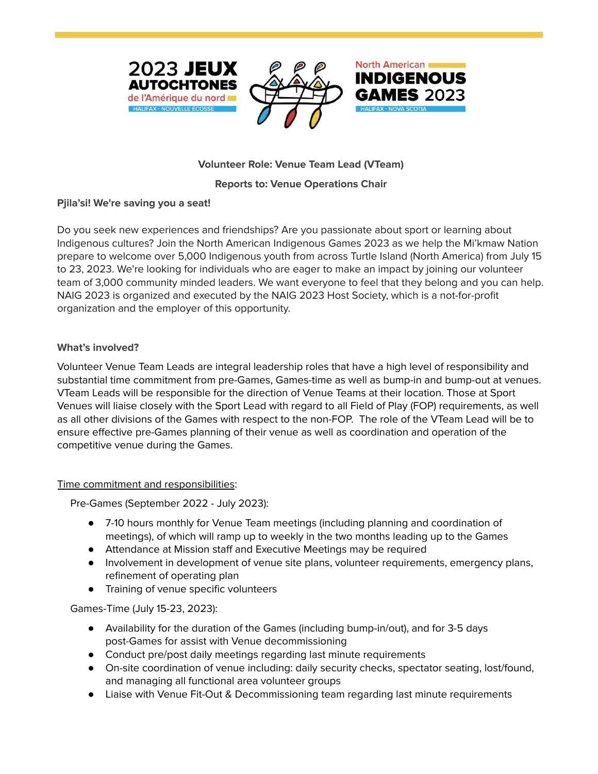





# **Volunteer Role: Venue Team Lead (VTeam)**

## **Reports to: Venue Operations Chair**

## **Pjila'si! We're saving you a seat!**

Do you seek new experiences and friendships? Are you passionate about sport or learning about Indigenous cultures? Join the North American Indigenous Games 2023 as we help the Mi'kmaw Nation prepare to welcome over 5,000 Indigenous youth from across Turtle Island (North America) from July 15 to 23, 2023. We're looking for individuals who are eager to make an impact by joining our volunteer team of 3,000 community minded leaders. We want everyone to feel that they belong and you can help. NAIG 2023 is organized and executed by the NAIG 2023 Host Society, which is a not-for-profit organization and the employer of this opportunity.

## **What's involved?**

Volunteer Venue Team Leads are integral leadership roles that have a high level of responsibility and substantial time commitment from pre-Games, Games-time as well as bump-in and bump-out at venues. VTeam Leads will be responsible for the direction of Venue Teams at their location. Those at Sport Venues will liaise closely with the Sport Lead with regard to all Field of Play (FOP) requirements, as well as all other divisions of the Games with respect to the non-FOP. The role of the VTeam Lead will be to ensure effective pre-Games planning of their venue as well as coordination and operation of the competitive venue during the Games.

## Time commitment and responsibilities:

Pre-Games (September 2022 - July 2023):

- 7-10 hours monthly for Venue Team meetings (including planning and coordination of meetings), of which will ramp up to weekly in the two months leading up to the Games
- Attendance at Mission staff and Executive Meetings may be required
- Involvement in development of venue site plans, volunteer requirements, emergency plans, refinement of operating plan
- Training of venue specific volunteers

Games-Time (July 15-23, 2023):

- Availability for the duration of the Games (including bump-in/out), and for 3-5 days post-Games for assist with Venue decommissioning
- Conduct pre/post daily meetings regarding last minute requirements
- On-site coordination of venue including: daily security checks, spectator seating, lost/found, and managing all functional area volunteer groups
- Liaise with Venue Fit-Out & Decommissioning team regarding last minute requirements